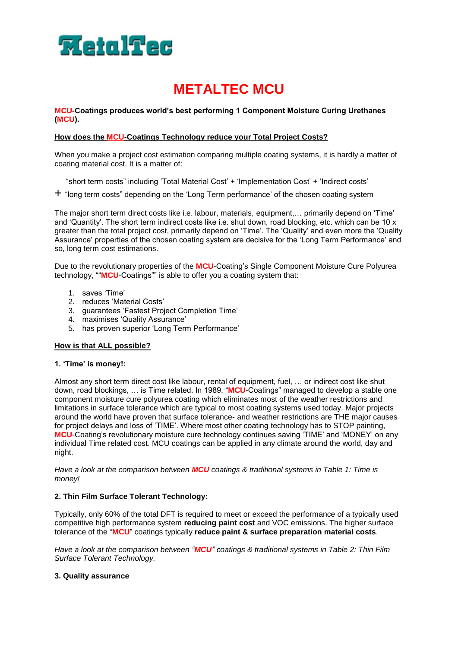

# **METALTEC MCU**

**MCU-Coatings produces world's best performing 1 Component Moisture Curing Urethanes (MCU).** 

#### **How does the MCU-Coatings Technology reduce your Total Project Costs?**

When you make a project cost estimation comparing multiple coating systems, it is hardly a matter of coating material cost. It is a matter of:

"short term costs" including 'Total Material Cost' + 'Implementation Cost' + 'Indirect costs'

 $+$  "long term costs" depending on the 'Long Term performance' of the chosen coating system

The major short term direct costs like i.e. labour, materials, equipment,… primarily depend on 'Time' and 'Quantity'. The short term indirect costs like i.e. shut down, road blocking, etc. which can be 10 x greater than the total project cost, primarily depend on 'Time'. The 'Quality' and even more the 'Quality Assurance' properties of the chosen coating system are decisive for the 'Long Term Performance' and so, long term cost estimations.

Due to the revolutionary properties of the **MCU**-Coating's Single Component Moisture Cure Polyurea technology, ""**MCU**-Coatings"" is able to offer you a coating system that:

- 1. saves 'Time'
- 2. reduces 'Material Costs'
- 3. guarantees 'Fastest Project Completion Time'
- 4. maximises 'Quality Assurance'
- 5. has proven superior 'Long Term Performance'

#### **How is that ALL possible?**

#### **1. 'Time' is money!:**

Almost any short term direct cost like labour, rental of equipment, fuel, … or indirect cost like shut down, road blockings, … is Time related. In 1989, "**MCU**-Coatings" managed to develop a stable one component moisture cure polyurea coating which eliminates most of the weather restrictions and limitations in surface tolerance which are typical to most coating systems used today. Major projects around the world have proven that surface tolerance- and weather restrictions are THE major causes for project delays and loss of 'TIME'. Where most other coating technology has to STOP painting, **MCU**-Coating's revolutionary moisture cure technology continues saving 'TIME' and 'MONEY' on any individual Time related cost. MCU coatings can be applied in any climate around the world, day and night.

*Have a look at the comparison between MCU coatings & traditional systems in Table 1: Time is money!*

#### **2. Thin Film Surface Tolerant Technology:**

Typically, only 60% of the total DFT is required to meet or exceed the performance of a typically used competitive high performance system **reducing paint cost** and VOC emissions. The higher surface tolerance of the "**MCU**" coatings typically **reduce paint & surface preparation material costs**.

*Have a look at the comparison between "MCU" coatings & traditional systems in Table 2: Thin Film Surface Tolerant Technology.*

#### **3. Quality assurance**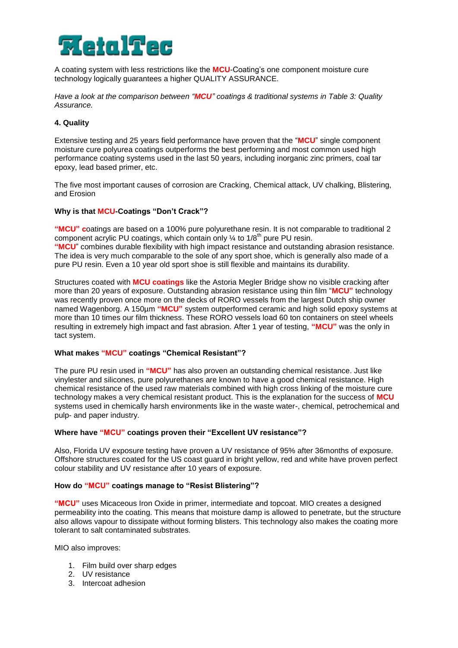

A coating system with less restrictions like the **MCU**-Coating's one component moisture cure technology logically guarantees a higher QUALITY ASSURANCE.

*Have a look at the comparison between "MCU" coatings & traditional systems in Table 3: Quality Assurance.*

#### **4. Quality**

Extensive testing and 25 years field performance have proven that the "**MCU**" single component moisture cure polyurea coatings outperforms the best performing and most common used high performance coating systems used in the last 50 years, including inorganic zinc primers, coal tar epoxy, lead based primer, etc.

The five most important causes of corrosion are Cracking, Chemical attack, UV chalking, Blistering, and Erosion

#### **Why is that MCU-Coatings "Don't Crack"?**

**"MCU" c**oatings are based on a 100% pure polyurethane resin. It is not comparable to traditional 2 component acrylic PU coatings, which contain only  $\frac{1}{4}$  to 1/8<sup>th</sup> pure PU resin. **"MCU**" combines durable flexibility with high impact resistance and outstanding abrasion resistance. The idea is very much comparable to the sole of any sport shoe, which is generally also made of a pure PU resin. Even a 10 year old sport shoe is still flexible and maintains its durability.

Structures coated with **MCU coatings** like the Astoria Megler Bridge show no visible cracking after more than 20 years of exposure. Outstanding abrasion resistance using thin film "**MCU"** technology was recently proven once more on the decks of RORO vessels from the largest Dutch ship owner named Wagenborg. A 150µm **"MCU"** system outperformed ceramic and high solid epoxy systems at more than 10 times our film thickness. These RORO vessels load 60 ton containers on steel wheels resulting in extremely high impact and fast abrasion. After 1 year of testing, **"MCU"** was the only in tact system.

#### **What makes "MCU" coatings "Chemical Resistant"?**

The pure PU resin used in **"MCU"** has also proven an outstanding chemical resistance. Just like vinylester and silicones, pure polyurethanes are known to have a good chemical resistance. High chemical resistance of the used raw materials combined with high cross linking of the moisture cure technology makes a very chemical resistant product. This is the explanation for the success of **MCU** systems used in chemically harsh environments like in the waste water-, chemical, petrochemical and pulp- and paper industry.

#### **Where have "MCU" coatings proven their "Excellent UV resistance"?**

Also, Florida UV exposure testing have proven a UV resistance of 95% after 36months of exposure. Offshore structures coated for the US coast guard in bright yellow, red and white have proven perfect colour stability and UV resistance after 10 years of exposure.

#### **How do "MCU" coatings manage to "Resist Blistering"?**

**"MCU"** uses Micaceous Iron Oxide in primer, intermediate and topcoat. MIO creates a designed permeability into the coating. This means that moisture damp is allowed to penetrate, but the structure also allows vapour to dissipate without forming blisters. This technology also makes the coating more tolerant to salt contaminated substrates.

MIO also improves:

- 1. Film build over sharp edges
- 2. UV resistance
- 3. Intercoat adhesion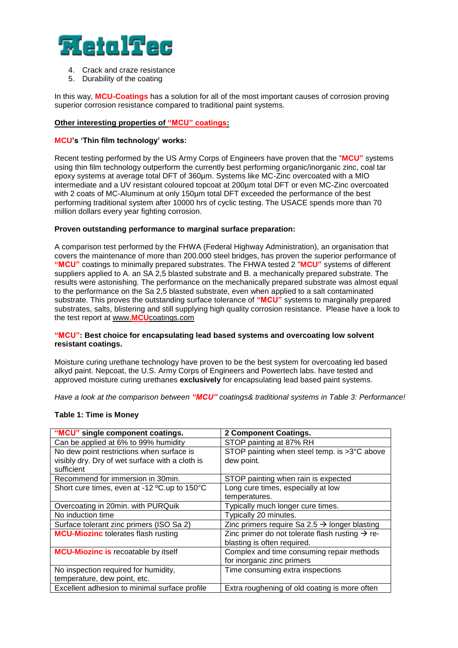

- 4. Crack and craze resistance
- 5. Durability of the coating

In this way, **MCU-Coatings** has a solution for all of the most important causes of corrosion proving superior corrosion resistance compared to traditional paint systems.

#### **Other interesting properties of "MCU" coatings:**

#### **MCU's 'Thin film technology' works:**

Recent testing performed by the US Army Corps of Engineers have proven that the "**MCU"** systems using thin film technology outperform the currently best performing organic/inorganic zinc, coal tar epoxy systems at average total DFT of 360µm. Systems like MC-Zinc overcoated with a MIO intermediate and a UV resistant coloured topcoat at 200µm total DFT or even MC-Zinc overcoated with 2 coats of MC-Aluminum at only 150um total DFT exceeded the performance of the best performing traditional system after 10000 hrs of cyclic testing. The USACE spends more than 70 million dollars every year fighting corrosion.

#### **Proven outstanding performance to marginal surface preparation:**

A comparison test performed by the FHWA (Federal Highway Administration), an organisation that covers the maintenance of more than 200.000 steel bridges, has proven the superior performance of **"MCU"** coatings to minimally prepared substrates. The FHWA tested 2 "**MCU"** systems of different suppliers applied to A. an SA 2,5 blasted substrate and B. a mechanically prepared substrate. The results were astonishing. The performance on the mechanically prepared substrate was almost equal to the performance on the Sa 2,5 blasted substrate, even when applied to a salt contaminated substrate. This proves the outstanding surface tolerance of **"MCU"** systems to marginally prepared substrates, salts, blistering and still supplying high quality corrosion resistance. Please have a look to the test report at www.**MCU**[coatings.com](http://www.wassereurope.com/)

#### **"MCU": Best choice for encapsulating lead based systems and overcoating low solvent resistant coatings.**

Moisture curing urethane technology have proven to be the best system for overcoating led based alkyd paint. Nepcoat, the U.S. Army Corps of Engineers and Powertech labs. have tested and approved moisture curing urethanes **exclusively** for encapsulating lead based paint systems.

*Have a look at the comparison between "MCU" coatings& traditional systems in Table 3: Performance!*

#### **Table 1: Time is Money**

| "MCU" single component coatings.                | 2 Component Coatings.                                       |
|-------------------------------------------------|-------------------------------------------------------------|
| Can be applied at 6% to 99% humidity            | STOP painting at 87% RH                                     |
| No dew point restrictions when surface is       | STOP painting when steel temp. is >3°C above                |
| visibly dry. Dry of wet surface with a cloth is | dew point.                                                  |
| sufficient                                      |                                                             |
| Recommend for immersion in 30min.               | STOP painting when rain is expected                         |
| Short cure times, even at -12 °C.up to 150°C    | Long cure times, especially at low                          |
|                                                 | temperatures.                                               |
| Overcoating in 20min. with PURQuik              | Typically much longer cure times.                           |
| No induction time                               | Typically 20 minutes.                                       |
| Surface tolerant zinc primers (ISO Sa 2)        | Zinc primers require Sa 2.5 $\rightarrow$ longer blasting   |
| <b>MCU-Miozinc</b> tolerates flash rusting      | Zinc primer do not tolerate flash rusting $\rightarrow$ re- |
|                                                 | blasting is often required.                                 |
| <b>MCU-Miozinc is recoatable by itself</b>      | Complex and time consuming repair methods                   |
|                                                 | for inorganic zinc primers                                  |
| No inspection required for humidity,            | Time consuming extra inspections                            |
| temperature, dew point, etc.                    |                                                             |
| Excellent adhesion to minimal surface profile   | Extra roughening of old coating is more often               |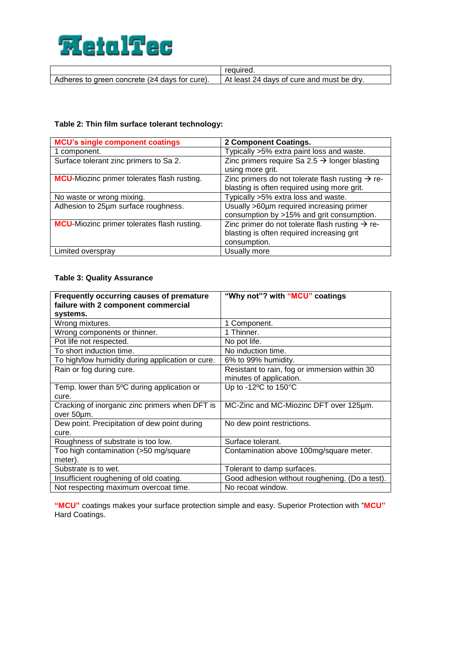

|                                                 | reauired.                                 |
|-------------------------------------------------|-------------------------------------------|
| Adheres to green concrete $(≥4$ days for cure). | At least 24 days of cure and must be dry. |
|                                                 |                                           |

#### **Table 2: Thin film surface tolerant technology:**

| <b>MCU's single component coatings</b>              | 2 Component Coatings.                                        |
|-----------------------------------------------------|--------------------------------------------------------------|
| 1 component.                                        | Typically >5% extra paint loss and waste.                    |
| Surface tolerant zinc primers to Sa 2.              | Zinc primers require Sa 2.5 $\rightarrow$ longer blasting    |
|                                                     | using more grit.                                             |
| <b>MCU</b> -Miozinc primer tolerates flash rusting. | Zinc primers do not tolerate flash rusting $\rightarrow$ re- |
|                                                     | blasting is often required using more grit.                  |
| No waste or wrong mixing.                           | Typically >5% extra loss and waste.                          |
| Adhesion to 25um surface roughness.                 | Usually >60µm required increasing primer                     |
|                                                     | consumption by >15% and grit consumption.                    |
| MCU-Miozinc primer tolerates flash rusting.         | Zinc primer do not tolerate flash rusting $\rightarrow$ re-  |
|                                                     | blasting is often required increasing grit                   |
|                                                     | consumption.                                                 |
| Limited overspray                                   | Usually more                                                 |

# **Table 3: Quality Assurance**

| Frequently occurring causes of premature<br>failure with 2 component commercial | "Why not"? with "MCU" coatings                 |
|---------------------------------------------------------------------------------|------------------------------------------------|
| systems.                                                                        |                                                |
| Wrong mixtures.                                                                 | 1 Component.                                   |
| Wrong components or thinner.                                                    | 1 Thinner.                                     |
| Pot life not respected.                                                         | No pot life.                                   |
| To short induction time.                                                        | No induction time.                             |
| To high/low humidity during application or cure.                                | 6% to 99% humidity.                            |
| Rain or fog during cure.                                                        | Resistant to rain, fog or immersion within 30  |
|                                                                                 | minutes of application.                        |
| Temp. lower than 5°C during application or                                      | Up to -12°C to 150°C                           |
| cure.                                                                           |                                                |
| Cracking of inorganic zinc primers when DFT is                                  | MC-Zinc and MC-Miozinc DFT over 125µm.         |
| over 50um.                                                                      |                                                |
| Dew point. Precipitation of dew point during                                    | No dew point restrictions.                     |
| cure.                                                                           |                                                |
| Roughness of substrate is too low.                                              | Surface tolerant.                              |
| Too high contamination (>50 mg/square                                           | Contamination above 100mg/square meter.        |
| meter).                                                                         |                                                |
| Substrate is to wet.                                                            | Tolerant to damp surfaces.                     |
| Insufficient roughening of old coating.                                         | Good adhesion without roughening. (Do a test). |
| Not respecting maximum overcoat time.                                           | No recoat window.                              |

**"MCU"** coatings makes your surface protection simple and easy. Superior Protection with "**MCU"** Hard Coatings.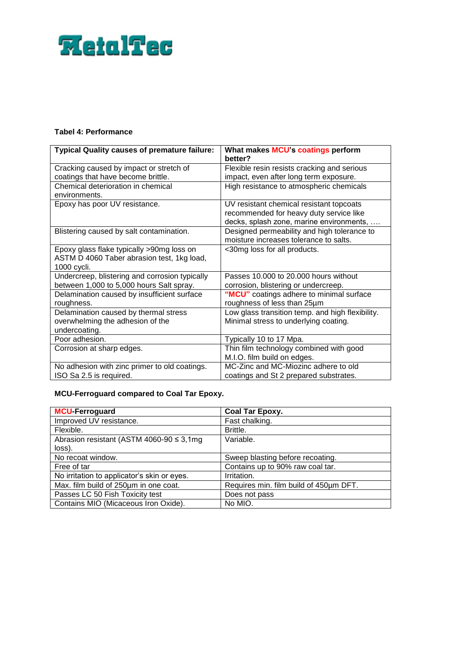# **FietalTec**

# **Tabel 4: Performance**

| <b>Typical Quality causes of premature failure:</b>                                                    | What makes MCU's coatings perform<br>better?                                                                                    |
|--------------------------------------------------------------------------------------------------------|---------------------------------------------------------------------------------------------------------------------------------|
| Cracking caused by impact or stretch of<br>coatings that have become brittle.                          | Flexible resin resists cracking and serious<br>impact, even after long term exposure.                                           |
| Chemical deterioration in chemical<br>environments.                                                    | High resistance to atmospheric chemicals                                                                                        |
| Epoxy has poor UV resistance.                                                                          | UV resistant chemical resistant topcoats<br>recommended for heavy duty service like<br>decks, splash zone, marine environments, |
| Blistering caused by salt contamination.                                                               | Designed permeability and high tolerance to<br>moisture increases tolerance to salts.                                           |
| Epoxy glass flake typically >90mg loss on<br>ASTM D 4060 Taber abrasion test, 1kg load,<br>1000 cycli. | <30mg loss for all products.                                                                                                    |
| Undercreep, blistering and corrosion typically<br>between 1,000 to 5,000 hours Salt spray.             | Passes 10,000 to 20,000 hours without<br>corrosion, blistering or undercreep.                                                   |
| Delamination caused by insufficient surface<br>roughness.                                              | "MCU" coatings adhere to minimal surface<br>roughness of less than 25µm                                                         |
| Delamination caused by thermal stress<br>overwhelming the adhesion of the<br>undercoating.             | Low glass transition temp. and high flexibility.<br>Minimal stress to underlying coating.                                       |
| Poor adhesion.                                                                                         | Typically 10 to 17 Mpa.                                                                                                         |
| Corrosion at sharp edges.                                                                              | Thin film technology combined with good<br>M.I.O. film build on edges.                                                          |
| No adhesion with zinc primer to old coatings.<br>ISO Sa 2.5 is required.                               | MC-Zinc and MC-Miozinc adhere to old<br>coatings and St 2 prepared substrates.                                                  |

# **MCU-Ferroguard compared to Coal Tar Epoxy.**

| <b>MCU-Ferroguard</b>                         | <b>Coal Tar Epoxy.</b>                 |
|-----------------------------------------------|----------------------------------------|
| Improved UV resistance.                       | Fast chalking.                         |
| Flexible.                                     | Brittle.                               |
| Abrasion resistant (ASTM 4060-90 $\leq$ 3,1mg | Variable.                              |
| loss).                                        |                                        |
| No recoat window.                             | Sweep blasting before recoating.       |
| Free of tar                                   | Contains up to 90% raw coal tar.       |
| No irritation to applicator's skin or eyes.   | Irritation.                            |
| Max. film build of 250um in one coat.         | Requires min. film build of 450um DFT. |
| Passes LC 50 Fish Toxicity test               | Does not pass                          |
| Contains MIO (Micaceous Iron Oxide).          | No MIO.                                |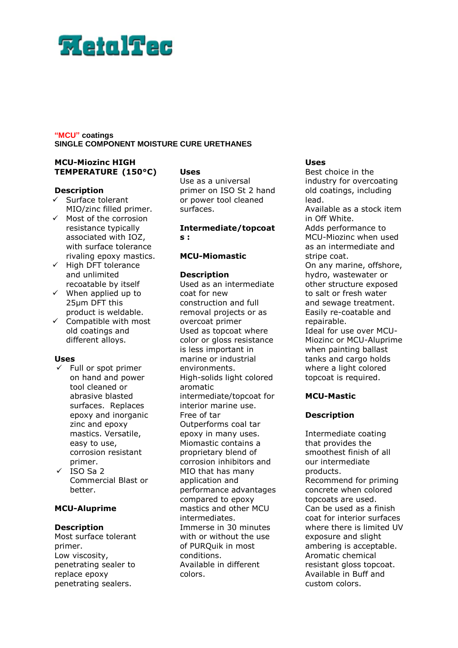# **Weiglfed**

# **"MCU" coatings SINGLE COMPONENT MOISTURE CURE URETHANES**

# **MCU-Miozinc HIGH TEMPERATURE (150°C)**

#### **Description**

- $\checkmark$  Surface tolerant MIO/zinc filled primer.
- Most of the corrosion resistance typically associated with IOZ, with surface tolerance rivaling epoxy mastics.
- $\checkmark$  High DFT tolerance and unlimited recoatable by itself
- $\checkmark$  When applied up to 25µm DFT this product is weldable.
- $\checkmark$  Compatible with most old coatings and different alloys.

# **Uses**

- $\checkmark$  Full or spot primer on hand and power tool cleaned or abrasive blasted surfaces. Replaces epoxy and inorganic zinc and epoxy mastics. Versatile, easy to use, corrosion resistant primer.
- $\times$  ISO Sa 2 Commercial Blast or better.

# **MCU-Aluprime**

# **Description**

Most surface tolerant primer. Low viscosity, penetrating sealer to replace epoxy penetrating sealers.

# **Uses**

Use as a universal primer on ISO St 2 hand or power tool cleaned surfaces.

**Intermediate/topcoat s :**

#### **MCU-Miomastic**

#### **Description**

Used as an intermediate coat for new construction and full removal projects or as overcoat primer Used as topcoat where color or gloss resistance is less important in marine or industrial environments. High-solids light colored aromatic intermediate/topcoat for interior marine use. Free of tar Outperforms coal tar epoxy in many uses. Miomastic contains a proprietary blend of corrosion inhibitors and MIO that has many application and performance advantages compared to epoxy mastics and other MCU intermediates. Immerse in 30 minutes with or without the use of PURQuik in most conditions. Available in different colors.

# **Uses**

Best choice in the industry for overcoating old coatings, including lead.

Available as a stock item in Off White.

Adds performance to MCU-Miozinc when used as an intermediate and stripe coat.

On any marine, offshore, hydro, wastewater or other structure exposed to salt or fresh water and sewage treatment. Easily re-coatable and repairable. Ideal for use over MCU-Miozinc or MCU-Aluprime when painting ballast tanks and cargo holds where a light colored

topcoat is required.

# **MCU-Mastic**

# **Description**

Intermediate coating that provides the smoothest finish of all our intermediate products. Recommend for priming concrete when colored topcoats are used. Can be used as a finish coat for interior surfaces where there is limited UV exposure and slight ambering is acceptable. Aromatic chemical resistant gloss topcoat. Available in Buff and custom colors.